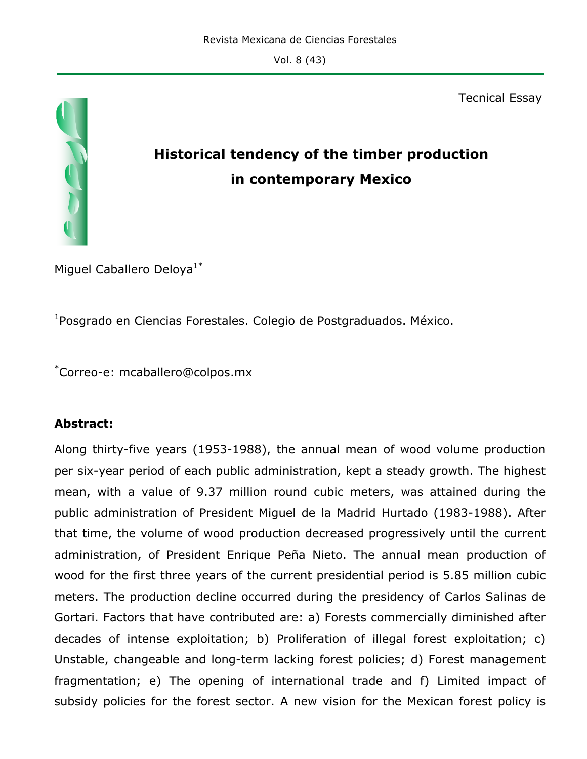Tecnical Essay

# **Historical tendency of the timber production in contemporary Mexico**

Miguel Caballero Deloya<sup>1\*</sup>

1 Posgrado en Ciencias Forestales. Colegio de Postgraduados. México.

\* Correo-e: mcaballero@colpos.mx

### **Abstract:**

Along thirty-five years (1953-1988), the annual mean of wood volume production per six-year period of each public administration, kept a steady growth. The highest mean, with a value of 9.37 million round cubic meters, was attained during the public administration of President Miguel de la Madrid Hurtado (1983-1988). After that time, the volume of wood production decreased progressively until the current administration, of President Enrique Peña Nieto. The annual mean production of wood for the first three years of the current presidential period is 5.85 million cubic meters. The production decline occurred during the presidency of Carlos Salinas de Gortari. Factors that have contributed are: a) Forests commercially diminished after decades of intense exploitation; b) Proliferation of illegal forest exploitation; c) Unstable, changeable and long-term lacking forest policies; d) Forest management fragmentation; e) The opening of international trade and f) Limited impact of subsidy policies for the forest sector. A new vision for the Mexican forest policy is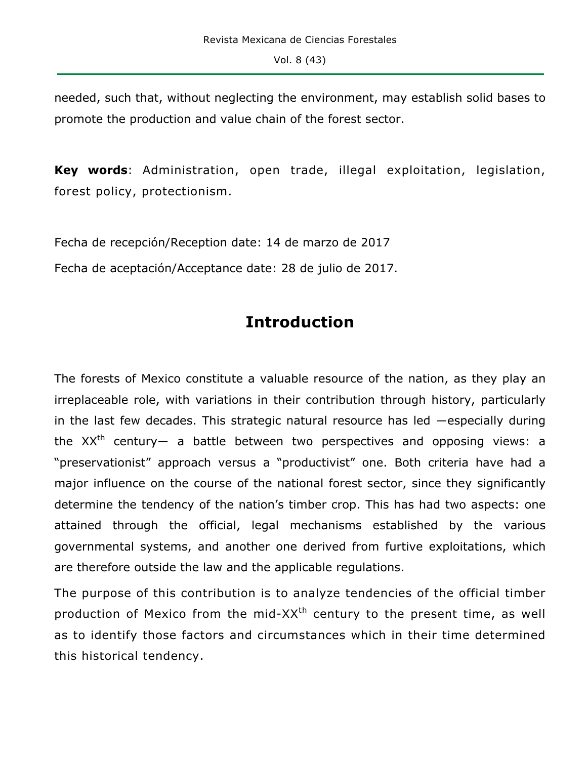needed, such that, without neglecting the environment, may establish solid bases to promote the production and value chain of the forest sector.

**Key words**: Administration, open trade, illegal exploitation, legislation, forest policy, protectionism.

Fecha de recepción/Reception date: 14 de marzo de 2017

Fecha de aceptación/Acceptance date: 28 de julio de 2017.

# **Introduction**

The forests of Mexico constitute a valuable resource of the nation, as they play an irreplaceable role, with variations in their contribution through history, particularly in the last few decades. This strategic natural resource has led ―especially during the  $XX<sup>th</sup>$  century— a battle between two perspectives and opposing views: a "preservationist" approach versus a "productivist" one. Both criteria have had a major influence on the course of the national forest sector, since they significantly determine the tendency of the nation's timber crop. This has had two aspects: one attained through the official, legal mechanisms established by the various governmental systems, and another one derived from furtive exploitations, which are therefore outside the law and the applicable regulations.

The purpose of this contribution is to analyze tendencies of the official timber production of Mexico from the mid- $XX<sup>th</sup>$  century to the present time, as well as to identify those factors and circumstances which in their time determined this historical tendency.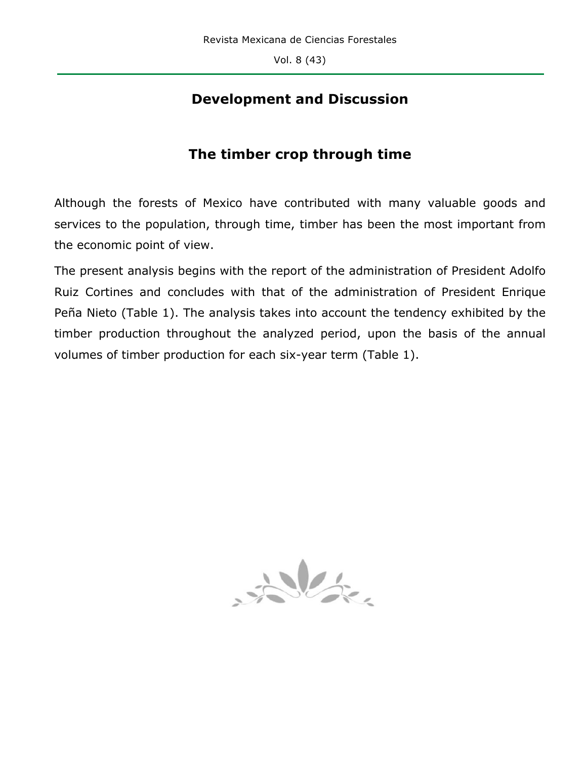# **Development and Discussion**

# **The timber crop through time**

Although the forests of Mexico have contributed with many valuable goods and services to the population, through time, timber has been the most important from the economic point of view.

The present analysis begins with the report of the administration of President Adolfo Ruiz Cortines and concludes with that of the administration of President Enrique Peña Nieto (Table 1). The analysis takes into account the tendency exhibited by the timber production throughout the analyzed period, upon the basis of the annual volumes of timber production for each six-year term (Table 1).

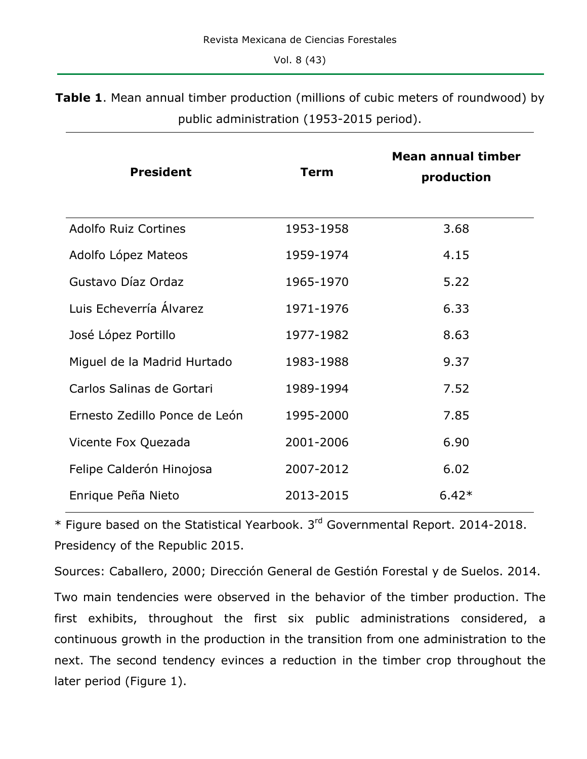**Table 1**. Mean annual timber production (millions of cubic meters of roundwood) by public administration (1953-2015 period).

| <b>President</b>              | <b>Term</b> | <b>Mean annual timber</b><br>production |
|-------------------------------|-------------|-----------------------------------------|
| <b>Adolfo Ruiz Cortines</b>   | 1953-1958   | 3.68                                    |
| Adolfo López Mateos           | 1959-1974   | 4.15                                    |
| Gustavo Díaz Ordaz            | 1965-1970   | 5.22                                    |
| Luis Echeverría Álvarez       | 1971-1976   | 6.33                                    |
| José López Portillo           | 1977-1982   | 8.63                                    |
| Miguel de la Madrid Hurtado   | 1983-1988   | 9.37                                    |
| Carlos Salinas de Gortari     | 1989-1994   | 7.52                                    |
| Ernesto Zedillo Ponce de León | 1995-2000   | 7.85                                    |
| Vicente Fox Quezada           | 2001-2006   | 6.90                                    |
| Felipe Calderón Hinojosa      | 2007-2012   | 6.02                                    |
| Enrique Peña Nieto            | 2013-2015   | $6.42*$                                 |

\* Figure based on the Statistical Yearbook. 3rd Governmental Report. 2014-2018. Presidency of the Republic 2015.

Sources: Caballero, 2000; Dirección General de Gestión Forestal y de Suelos. 2014. Two main tendencies were observed in the behavior of the timber production. The first exhibits, throughout the first six public administrations considered, a continuous growth in the production in the transition from one administration to the next. The second tendency evinces a reduction in the timber crop throughout the later period (Figure 1).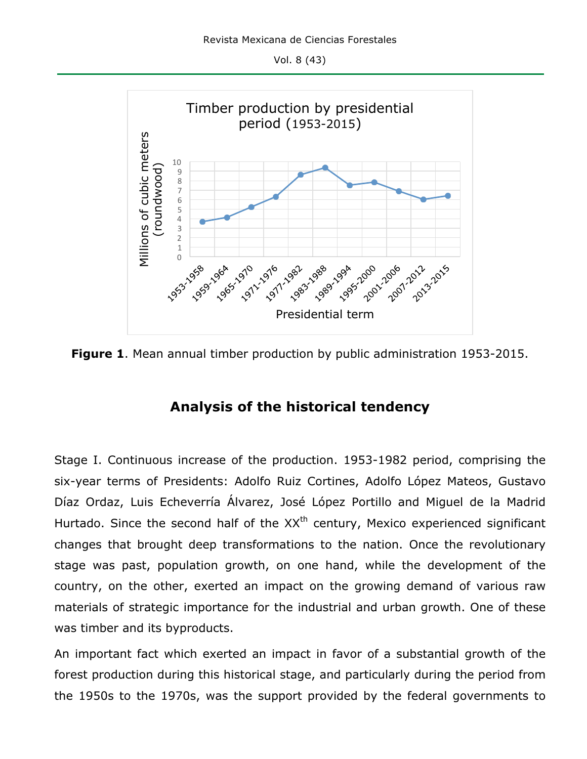

**Figure 1**. Mean annual timber production by public administration 1953-2015.

## **Analysis of the historical tendency**

Stage I. Continuous increase of the production. 1953-1982 period, comprising the six-year terms of Presidents: Adolfo Ruiz Cortines, Adolfo López Mateos, Gustavo Díaz Ordaz, Luis Echeverría Álvarez, José López Portillo and Miguel de la Madrid Hurtado. Since the second half of the XX<sup>th</sup> century, Mexico experienced significant changes that brought deep transformations to the nation. Once the revolutionary stage was past, population growth, on one hand, while the development of the country, on the other, exerted an impact on the growing demand of various raw materials of strategic importance for the industrial and urban growth. One of these was timber and its byproducts.

An important fact which exerted an impact in favor of a substantial growth of the forest production during this historical stage, and particularly during the period from the 1950s to the 1970s, was the support provided by the federal governments to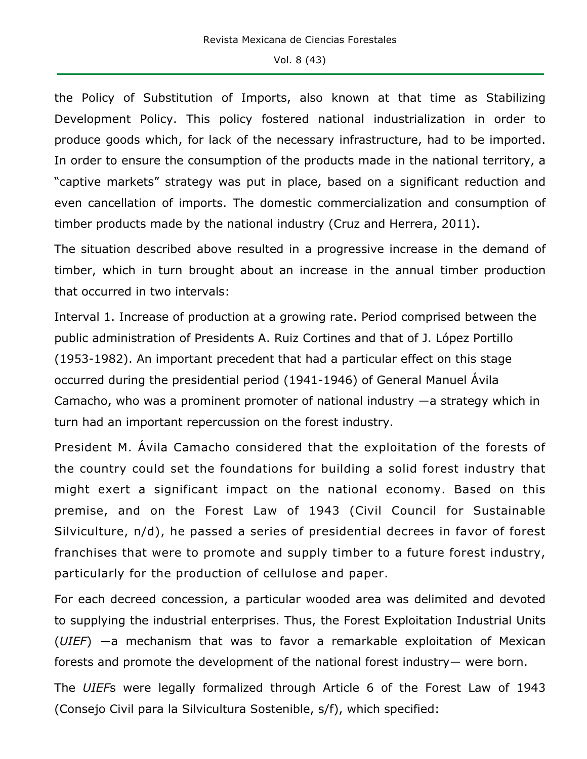the Policy of Substitution of Imports, also known at that time as Stabilizing Development Policy. This policy fostered national industrialization in order to produce goods which, for lack of the necessary infrastructure, had to be imported. In order to ensure the consumption of the products made in the national territory, a "captive markets" strategy was put in place, based on a significant reduction and even cancellation of imports. The domestic commercialization and consumption of timber products made by the national industry (Cruz and Herrera, 2011).

The situation described above resulted in a progressive increase in the demand of timber, which in turn brought about an increase in the annual timber production that occurred in two intervals:

Interval 1. Increase of production at a growing rate. Period comprised between the public administration of Presidents A. Ruiz Cortines and that of J. López Portillo (1953-1982). An important precedent that had a particular effect on this stage occurred during the presidential period (1941-1946) of General Manuel Ávila Camacho, who was a prominent promoter of national industry  $-a$  strategy which in turn had an important repercussion on the forest industry.

President M. Ávila Camacho considered that the exploitation of the forests of the country could set the foundations for building a solid forest industry that might exert a significant impact on the national economy. Based on this premise, and on the Forest Law of 1943 (Civil Council for Sustainable Silviculture, n/d), he passed a series of presidential decrees in favor of forest franchises that were to promote and supply timber to a future forest industry, particularly for the production of cellulose and paper.

For each decreed concession, a particular wooded area was delimited and devoted to supplying the industrial enterprises. Thus, the Forest Exploitation Industrial Units (*UIEF*) ―a mechanism that was to favor a remarkable exploitation of Mexican forests and promote the development of the national forest industry― were born.

The *UIEF*s were legally formalized through Article 6 of the Forest Law of 1943 (Consejo Civil para la Silvicultura Sostenible, s/f), which specified: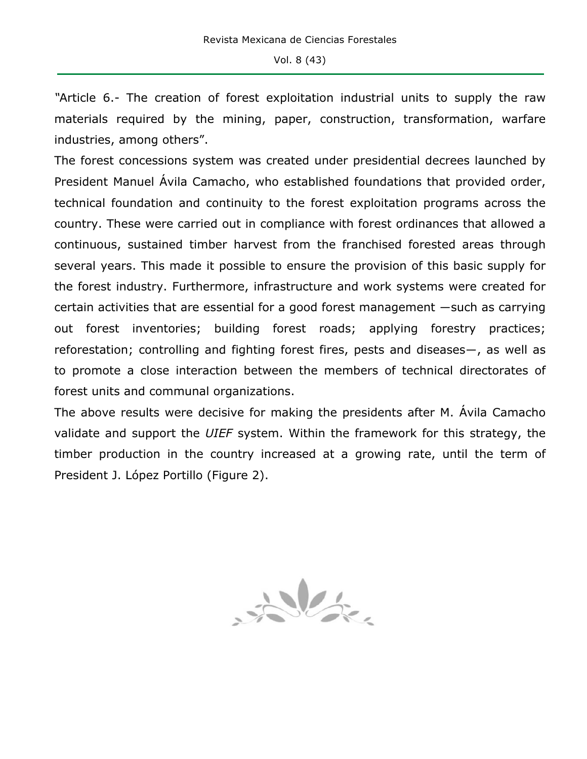*"*Article 6.- The creation of forest exploitation industrial units to supply the raw materials required by the mining, paper, construction, transformation, warfare industries, among others".

The forest concessions system was created under presidential decrees launched by President Manuel Ávila Camacho, who established foundations that provided order, technical foundation and continuity to the forest exploitation programs across the country. These were carried out in compliance with forest ordinances that allowed a continuous, sustained timber harvest from the franchised forested areas through several years. This made it possible to ensure the provision of this basic supply for the forest industry. Furthermore, infrastructure and work systems were created for certain activities that are essential for a good forest management ―such as carrying out forest inventories; building forest roads; applying forestry practices; reforestation; controlling and fighting forest fires, pests and diseases―, as well as to promote a close interaction between the members of technical directorates of forest units and communal organizations.

The above results were decisive for making the presidents after M. Ávila Camacho validate and support the *UIEF* system. Within the framework for this strategy, the timber production in the country increased at a growing rate, until the term of President J. López Portillo (Figure 2).

John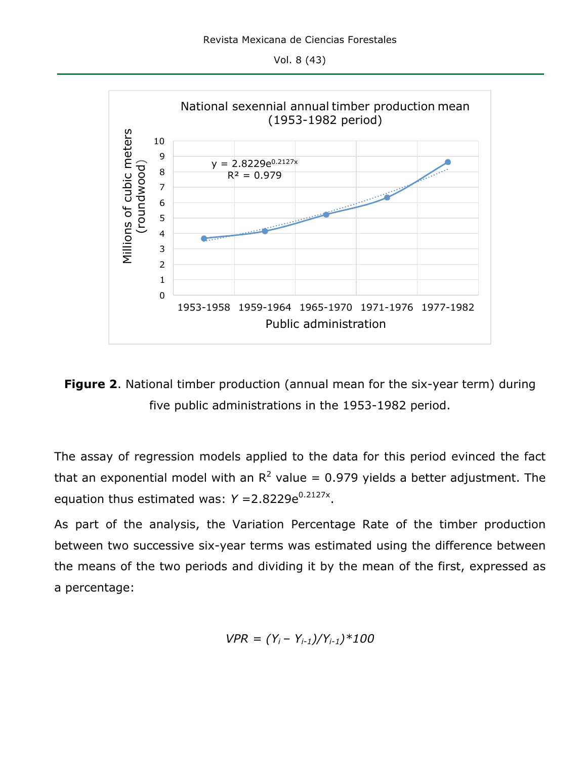Vol. 8 (43)





The assay of regression models applied to the data for this period evinced the fact that an exponential model with an  $R^2$  value = 0.979 yields a better adjustment. The equation thus estimated was:  $Y = 2.8229e^{0.2127x}$ .

As part of the analysis, the Variation Percentage Rate of the timber production between two successive six-year terms was estimated using the difference between the means of the two periods and dividing it by the mean of the first, expressed as a percentage:

$$
VPR = (Y_i - Y_{i-1})/Y_{i-1})*100
$$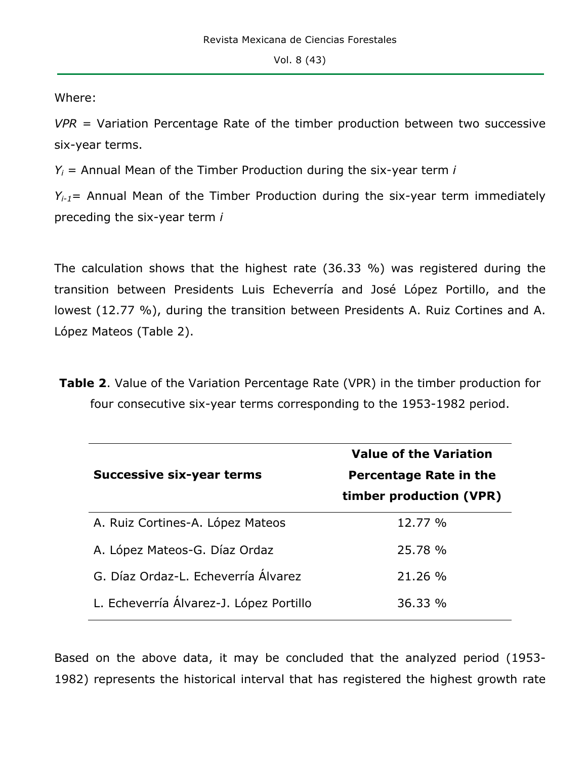Where:

*VPR* = Variation Percentage Rate of the timber production between two successive six-year terms.

*Yi* = Annual Mean of the Timber Production during the six-year term *i*

*Yi-1*= Annual Mean of the Timber Production during the six-year term immediately preceding the six-year term *i*

The calculation shows that the highest rate (36.33 %) was registered during the transition between Presidents Luis Echeverría and José López Portillo, and the lowest (12.77 %), during the transition between Presidents A. Ruiz Cortines and A. López Mateos (Table 2).

**Table 2**. Value of the Variation Percentage Rate (VPR) in the timber production for four consecutive six-year terms corresponding to the 1953-1982 period.

|                                         | <b>Value of the Variation</b> |
|-----------------------------------------|-------------------------------|
| <b>Successive six-year terms</b>        | <b>Percentage Rate in the</b> |
|                                         | timber production (VPR)       |
| A. Ruiz Cortines-A. López Mateos        | 12.77 %                       |
| A. López Mateos-G. Díaz Ordaz           | 25.78 %                       |
| G. Díaz Ordaz-L. Echeverría Álvarez     | 21.26 %                       |
| L. Echeverría Álvarez-J. López Portillo | 36.33%                        |

Based on the above data, it may be concluded that the analyzed period (1953- 1982) represents the historical interval that has registered the highest growth rate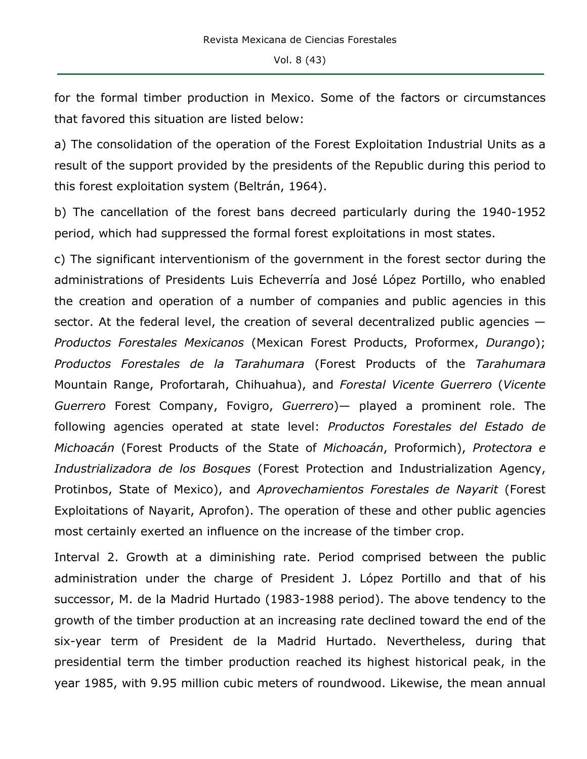for the formal timber production in Mexico. Some of the factors or circumstances that favored this situation are listed below:

a) The consolidation of the operation of the Forest Exploitation Industrial Units as a result of the support provided by the presidents of the Republic during this period to this forest exploitation system (Beltrán, 1964).

b) The cancellation of the forest bans decreed particularly during the 1940-1952 period, which had suppressed the formal forest exploitations in most states.

c) The significant interventionism of the government in the forest sector during the administrations of Presidents Luis Echeverría and José López Portillo, who enabled the creation and operation of a number of companies and public agencies in this sector. At the federal level, the creation of several decentralized public agencies — *Productos Forestales Mexicanos* (Mexican Forest Products, Proformex, *Durango*); *Productos Forestales de la Tarahumara* (Forest Products of the *Tarahumara* Mountain Range, Profortarah, Chihuahua), and *Forestal Vicente Guerrero* (*Vicente Guerrero* Forest Company, Fovigro, *Guerrero*)— played a prominent role. The following agencies operated at state level: *Productos Forestales del Estado de Michoacán* (Forest Products of the State of *Michoacán*, Proformich), *Protectora e Industrializadora de los Bosques* (Forest Protection and Industrialization Agency, Protinbos, State of Mexico), and *Aprovechamientos Forestales de Nayarit* (Forest Exploitations of Nayarit, Aprofon). The operation of these and other public agencies most certainly exerted an influence on the increase of the timber crop.

Interval 2. Growth at a diminishing rate. Period comprised between the public administration under the charge of President J. López Portillo and that of his successor, M. de la Madrid Hurtado (1983-1988 period). The above tendency to the growth of the timber production at an increasing rate declined toward the end of the six-year term of President de la Madrid Hurtado. Nevertheless, during that presidential term the timber production reached its highest historical peak, in the year 1985, with 9.95 million cubic meters of roundwood. Likewise, the mean annual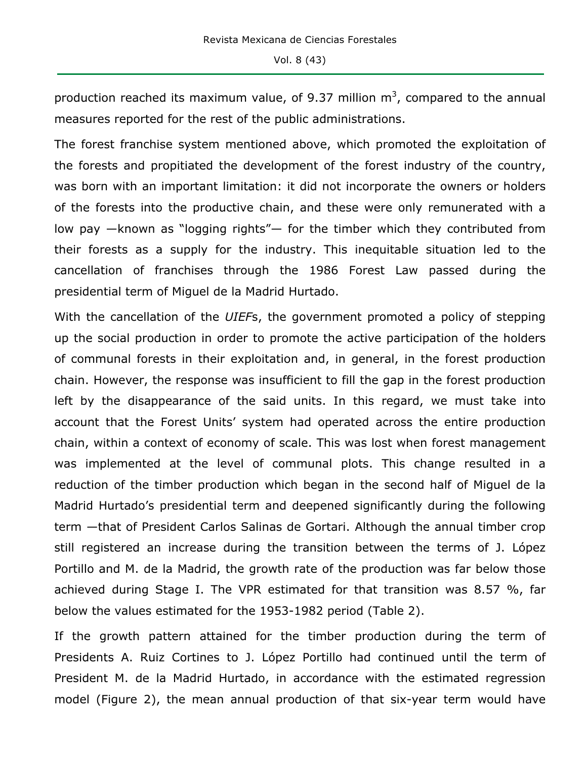production reached its maximum value, of 9.37 million  $m^3$ , compared to the annual measures reported for the rest of the public administrations.

The forest franchise system mentioned above, which promoted the exploitation of the forests and propitiated the development of the forest industry of the country, was born with an important limitation: it did not incorporate the owners or holders of the forests into the productive chain, and these were only remunerated with a low pay —known as "logging rights"— for the timber which they contributed from their forests as a supply for the industry. This inequitable situation led to the cancellation of franchises through the 1986 Forest Law passed during the presidential term of Miguel de la Madrid Hurtado.

With the cancellation of the *UIEF*s, the government promoted a policy of stepping up the social production in order to promote the active participation of the holders of communal forests in their exploitation and, in general, in the forest production chain. However, the response was insufficient to fill the gap in the forest production left by the disappearance of the said units. In this regard, we must take into account that the Forest Units' system had operated across the entire production chain, within a context of economy of scale. This was lost when forest management was implemented at the level of communal plots. This change resulted in a reduction of the timber production which began in the second half of Miguel de la Madrid Hurtado's presidential term and deepened significantly during the following term —that of President Carlos Salinas de Gortari. Although the annual timber crop still registered an increase during the transition between the terms of J. López Portillo and M. de la Madrid, the growth rate of the production was far below those achieved during Stage I. The VPR estimated for that transition was 8.57 %, far below the values estimated for the 1953-1982 period (Table 2).

If the growth pattern attained for the timber production during the term of Presidents A. Ruiz Cortines to J. López Portillo had continued until the term of President M. de la Madrid Hurtado, in accordance with the estimated regression model (Figure 2), the mean annual production of that six-year term would have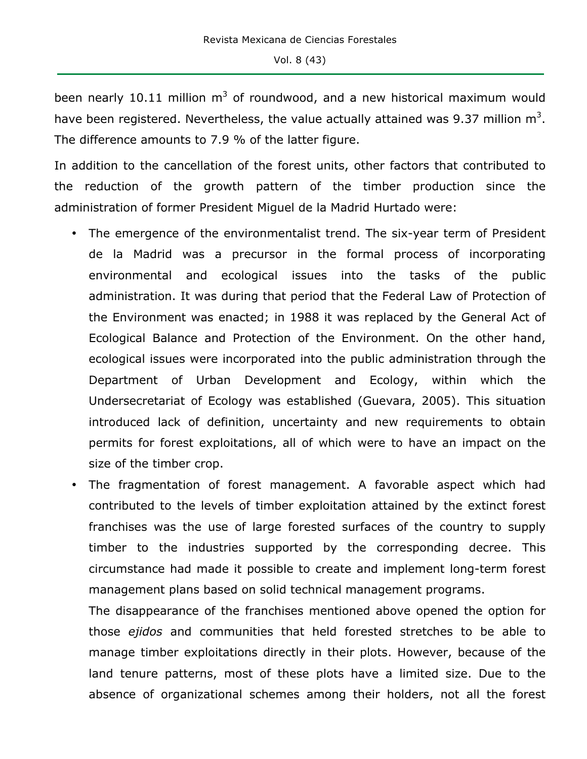been nearly 10.11 million  $m^3$  of roundwood, and a new historical maximum would have been registered. Nevertheless, the value actually attained was 9.37 million  $m^3$ . The difference amounts to 7.9 % of the latter figure.

In addition to the cancellation of the forest units, other factors that contributed to the reduction of the growth pattern of the timber production since the administration of former President Miguel de la Madrid Hurtado were:

- The emergence of the environmentalist trend. The six-year term of President de la Madrid was a precursor in the formal process of incorporating environmental and ecological issues into the tasks of the public administration. It was during that period that the Federal Law of Protection of the Environment was enacted; in 1988 it was replaced by the General Act of Ecological Balance and Protection of the Environment. On the other hand, ecological issues were incorporated into the public administration through the Department of Urban Development and Ecology, within which the Undersecretariat of Ecology was established (Guevara, 2005). This situation introduced lack of definition, uncertainty and new requirements to obtain permits for forest exploitations, all of which were to have an impact on the size of the timber crop.
- The fragmentation of forest management. A favorable aspect which had contributed to the levels of timber exploitation attained by the extinct forest franchises was the use of large forested surfaces of the country to supply timber to the industries supported by the corresponding decree. This circumstance had made it possible to create and implement long-term forest management plans based on solid technical management programs.

The disappearance of the franchises mentioned above opened the option for those *ejidos* and communities that held forested stretches to be able to manage timber exploitations directly in their plots. However, because of the land tenure patterns, most of these plots have a limited size. Due to the absence of organizational schemes among their holders, not all the forest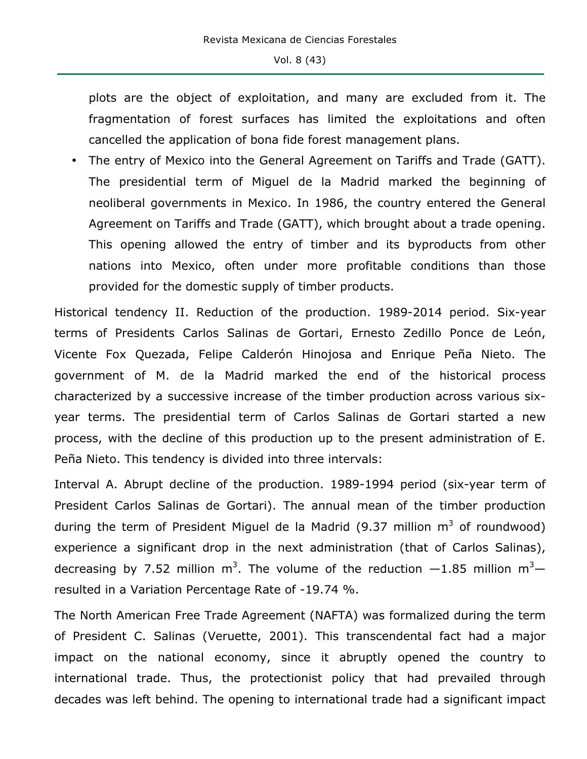plots are the object of exploitation, and many are excluded from it. The fragmentation of forest surfaces has limited the exploitations and often cancelled the application of bona fide forest management plans.

• The entry of Mexico into the General Agreement on Tariffs and Trade (GATT). The presidential term of Miguel de la Madrid marked the beginning of neoliberal governments in Mexico. In 1986, the country entered the General Agreement on Tariffs and Trade (GATT), which brought about a trade opening. This opening allowed the entry of timber and its byproducts from other nations into Mexico, often under more profitable conditions than those provided for the domestic supply of timber products.

Historical tendency II. Reduction of the production. 1989-2014 period. Six-year terms of Presidents Carlos Salinas de Gortari, Ernesto Zedillo Ponce de León, Vicente Fox Quezada, Felipe Calderón Hinojosa and Enrique Peña Nieto. The government of M. de la Madrid marked the end of the historical process characterized by a successive increase of the timber production across various sixyear terms. The presidential term of Carlos Salinas de Gortari started a new process, with the decline of this production up to the present administration of E. Peña Nieto. This tendency is divided into three intervals:

Interval A. Abrupt decline of the production. 1989-1994 period (six-year term of President Carlos Salinas de Gortari). The annual mean of the timber production during the term of President Miguel de la Madrid (9.37 million  $m^3$  of roundwood) experience a significant drop in the next administration (that of Carlos Salinas), decreasing by 7.52 million m<sup>3</sup>. The volume of the reduction  $-1.85$  million m<sup>3</sup> resulted in a Variation Percentage Rate of -19.74 %.

The North American Free Trade Agreement (NAFTA) was formalized during the term of President C. Salinas (Veruette, 2001). This transcendental fact had a major impact on the national economy, since it abruptly opened the country to international trade. Thus, the protectionist policy that had prevailed through decades was left behind. The opening to international trade had a significant impact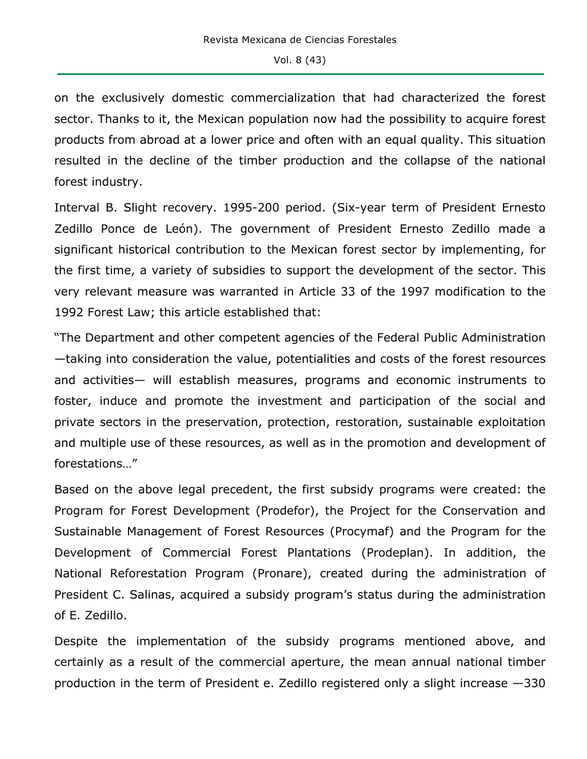on the exclusively domestic commercialization that had characterized the forest sector. Thanks to it, the Mexican population now had the possibility to acquire forest products from abroad at a lower price and often with an equal quality. This situation resulted in the decline of the timber production and the collapse of the national forest industry.

Interval B. Slight recovery. 1995-200 period. (Six-year term of President Ernesto Zedillo Ponce de León). The government of President Ernesto Zedillo made a significant historical contribution to the Mexican forest sector by implementing, for the first time, a variety of subsidies to support the development of the sector. This very relevant measure was warranted in Article 33 of the 1997 modification to the 1992 Forest Law; this article established that:

"The Department and other competent agencies of the Federal Public Administration —taking into consideration the value, potentialities and costs of the forest resources and activities— will establish measures, programs and economic instruments to foster, induce and promote the investment and participation of the social and private sectors in the preservation, protection, restoration, sustainable exploitation and multiple use of these resources, as well as in the promotion and development of forestations…"

Based on the above legal precedent, the first subsidy programs were created: the Program for Forest Development (Prodefor), the Project for the Conservation and Sustainable Management of Forest Resources (Procymaf) and the Program for the Development of Commercial Forest Plantations (Prodeplan). In addition, the National Reforestation Program (Pronare), created during the administration of President C. Salinas, acquired a subsidy program's status during the administration of E. Zedillo.

Despite the implementation of the subsidy programs mentioned above, and certainly as a result of the commercial aperture, the mean annual national timber production in the term of President e. Zedillo registered only a slight increase —330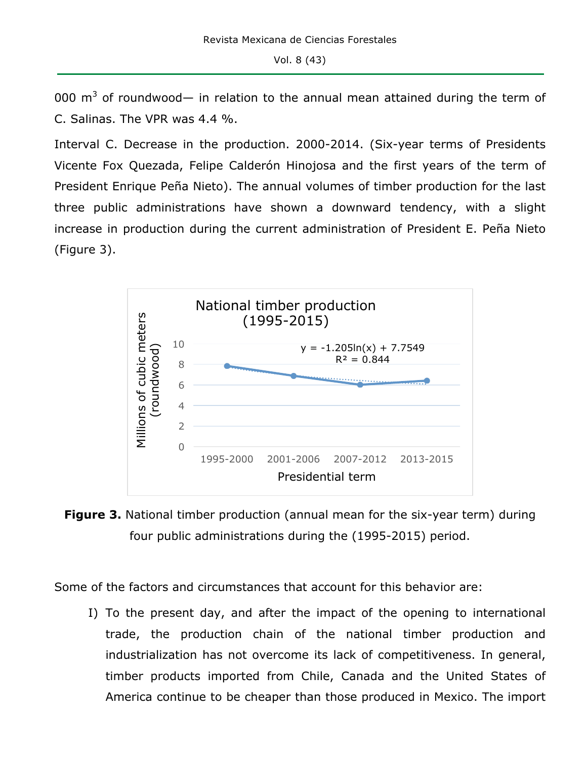000  $m<sup>3</sup>$  of roundwood— in relation to the annual mean attained during the term of C. Salinas. The VPR was 4.4 %.

Interval C. Decrease in the production. 2000-2014. (Six-year terms of Presidents Vicente Fox Quezada, Felipe Calderón Hinojosa and the first years of the term of President Enrique Peña Nieto). The annual volumes of timber production for the last three public administrations have shown a downward tendency, with a slight increase in production during the current administration of President E. Peña Nieto (Figure 3).



**Figure 3.** National timber production (annual mean for the six-year term) during four public administrations during the (1995-2015) period.

Some of the factors and circumstances that account for this behavior are:

I) To the present day, and after the impact of the opening to international trade, the production chain of the national timber production and industrialization has not overcome its lack of competitiveness. In general, timber products imported from Chile, Canada and the United States of America continue to be cheaper than those produced in Mexico. The import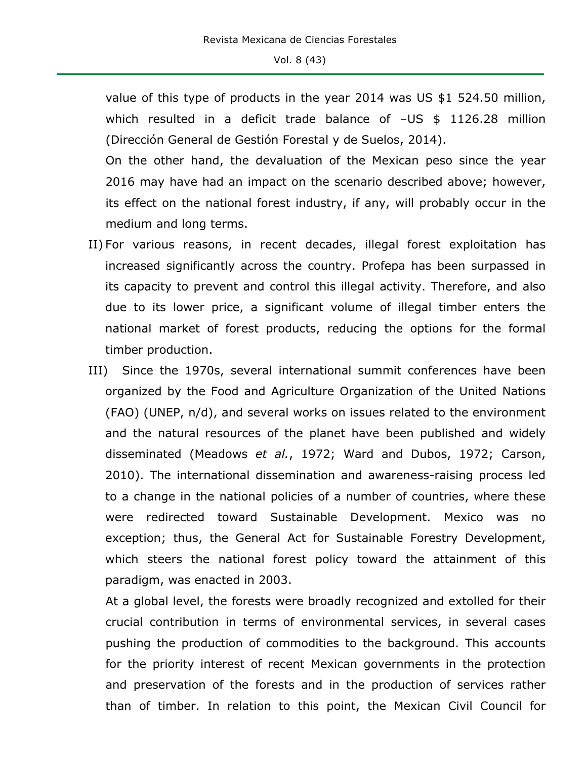value of this type of products in the year 2014 was US \$1 524.50 million, which resulted in a deficit trade balance of -US \$ 1126.28 million (Dirección General de Gestión Forestal y de Suelos, 2014).

On the other hand, the devaluation of the Mexican peso since the year 2016 may have had an impact on the scenario described above; however, its effect on the national forest industry, if any, will probably occur in the medium and long terms.

- II) For various reasons, in recent decades, illegal forest exploitation has increased significantly across the country. Profepa has been surpassed in its capacity to prevent and control this illegal activity. Therefore, and also due to its lower price, a significant volume of illegal timber enters the national market of forest products, reducing the options for the formal timber production.
- III) Since the 1970s, several international summit conferences have been organized by the Food and Agriculture Organization of the United Nations (FAO) (UNEP, n/d), and several works on issues related to the environment and the natural resources of the planet have been published and widely disseminated (Meadows *et al.*, 1972; Ward and Dubos, 1972; Carson, 2010). The international dissemination and awareness-raising process led to a change in the national policies of a number of countries, where these were redirected toward Sustainable Development. Mexico was no exception; thus, the General Act for Sustainable Forestry Development, which steers the national forest policy toward the attainment of this paradigm, was enacted in 2003.

At a global level, the forests were broadly recognized and extolled for their crucial contribution in terms of environmental services, in several cases pushing the production of commodities to the background. This accounts for the priority interest of recent Mexican governments in the protection and preservation of the forests and in the production of services rather than of timber. In relation to this point, the Mexican Civil Council for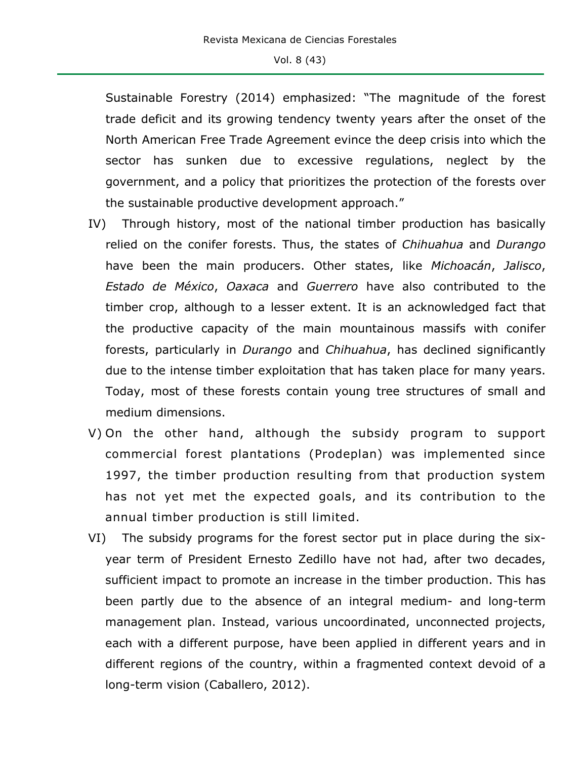Sustainable Forestry (2014) emphasized: "The magnitude of the forest trade deficit and its growing tendency twenty years after the onset of the North American Free Trade Agreement evince the deep crisis into which the sector has sunken due to excessive regulations, neglect by the government, and a policy that prioritizes the protection of the forests over the sustainable productive development approach."

- IV) Through history, most of the national timber production has basically relied on the conifer forests. Thus, the states of *Chihuahua* and *Durango* have been the main producers. Other states, like *Michoacán*, *Jalisco*, *Estado de México*, *Oaxaca* and *Guerrero* have also contributed to the timber crop, although to a lesser extent. It is an acknowledged fact that the productive capacity of the main mountainous massifs with conifer forests, particularly in *Durango* and *Chihuahua*, has declined significantly due to the intense timber exploitation that has taken place for many years. Today, most of these forests contain young tree structures of small and medium dimensions.
- V) On the other hand, although the subsidy program to support commercial forest plantations (Prodeplan) was implemented since 1997, the timber production resulting from that production system has not yet met the expected goals, and its contribution to the annual timber production is still limited.
- VI) The subsidy programs for the forest sector put in place during the sixyear term of President Ernesto Zedillo have not had, after two decades, sufficient impact to promote an increase in the timber production. This has been partly due to the absence of an integral medium- and long-term management plan. Instead, various uncoordinated, unconnected projects, each with a different purpose, have been applied in different years and in different regions of the country, within a fragmented context devoid of a long-term vision (Caballero, 2012).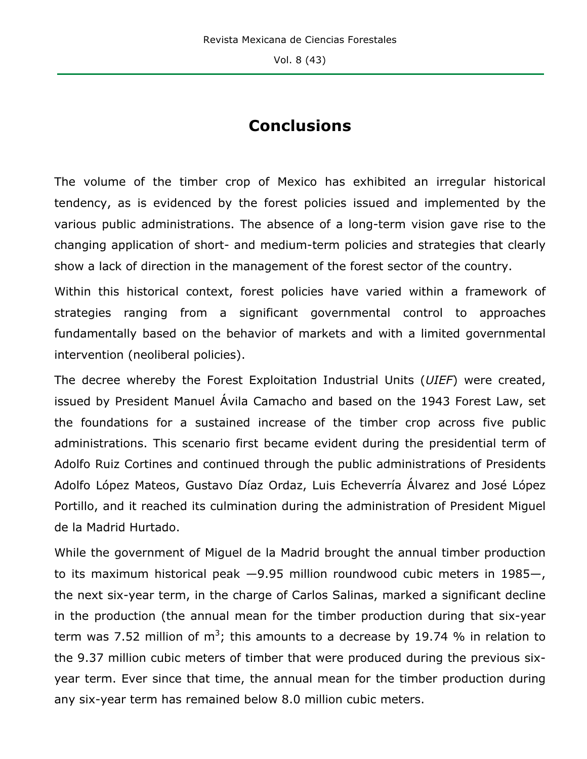# **Conclusions**

The volume of the timber crop of Mexico has exhibited an irregular historical tendency, as is evidenced by the forest policies issued and implemented by the various public administrations. The absence of a long-term vision gave rise to the changing application of short- and medium-term policies and strategies that clearly show a lack of direction in the management of the forest sector of the country.

Within this historical context, forest policies have varied within a framework of strategies ranging from a significant governmental control to approaches fundamentally based on the behavior of markets and with a limited governmental intervention (neoliberal policies).

The decree whereby the Forest Exploitation Industrial Units (*UIEF*) were created, issued by President Manuel Ávila Camacho and based on the 1943 Forest Law, set the foundations for a sustained increase of the timber crop across five public administrations. This scenario first became evident during the presidential term of Adolfo Ruiz Cortines and continued through the public administrations of Presidents Adolfo López Mateos, Gustavo Díaz Ordaz, Luis Echeverría Álvarez and José López Portillo, and it reached its culmination during the administration of President Miguel de la Madrid Hurtado.

While the government of Miguel de la Madrid brought the annual timber production to its maximum historical peak —9.95 million roundwood cubic meters in 1985—, the next six-year term, in the charge of Carlos Salinas, marked a significant decline in the production (the annual mean for the timber production during that six-year term was 7.52 million of m<sup>3</sup>; this amounts to a decrease by 19.74 % in relation to the 9.37 million cubic meters of timber that were produced during the previous sixyear term. Ever since that time, the annual mean for the timber production during any six-year term has remained below 8.0 million cubic meters.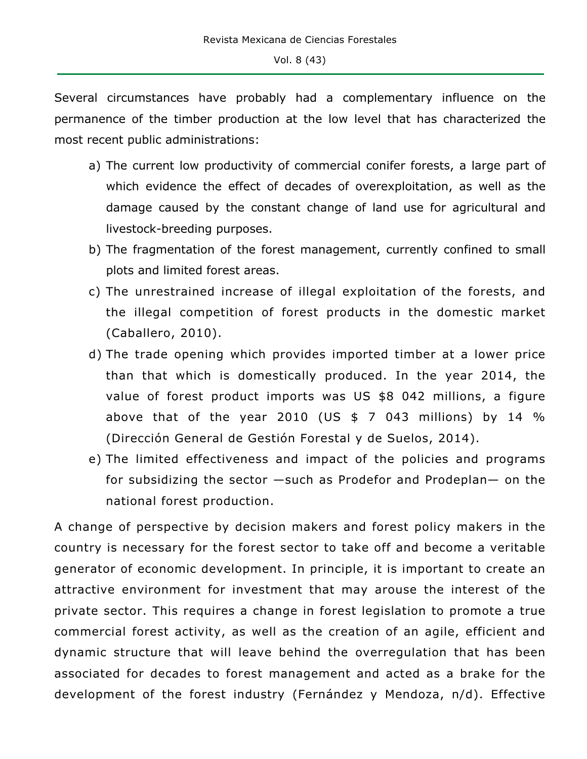Several circumstances have probably had a complementary influence on the permanence of the timber production at the low level that has characterized the most recent public administrations:

- a) The current low productivity of commercial conifer forests, a large part of which evidence the effect of decades of overexploitation, as well as the damage caused by the constant change of land use for agricultural and livestock-breeding purposes.
- b) The fragmentation of the forest management, currently confined to small plots and limited forest areas.
- c) The unrestrained increase of illegal exploitation of the forests, and the illegal competition of forest products in the domestic market (Caballero, 2010).
- d) The trade opening which provides imported timber at a lower price than that which is domestically produced. In the year 2014, the value of forest product imports was US \$8 042 millions, a figure above that of the year 2010 (US  $$7$  043 millions) by 14 % (Dirección General de Gestión Forestal y de Suelos, 2014).
- e) The limited effectiveness and impact of the policies and programs for subsidizing the sector —such as Prodefor and Prodeplan— on the national forest production.

A change of perspective by decision makers and forest policy makers in the country is necessary for the forest sector to take off and become a veritable generator of economic development. In principle, it is important to create an attractive environment for investment that may arouse the interest of the private sector. This requires a change in forest legislation to promote a true commercial forest activity, as well as the creation of an agile, efficient and dynamic structure that will leave behind the overregulation that has been associated for decades to forest management and acted as a brake for the development of the forest industry (Fernández y Mendoza, n/d). Effective